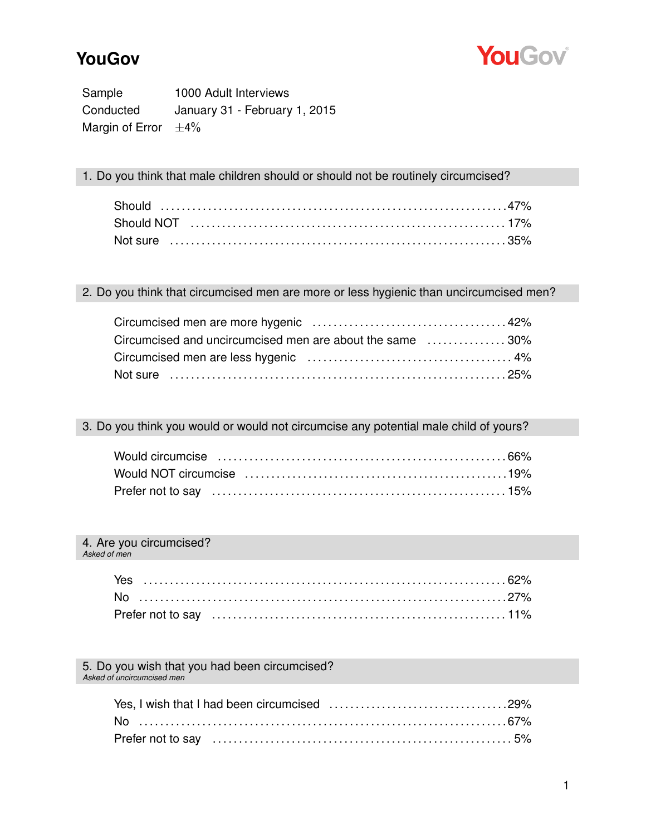## **YouGov**



Sample 1000 Adult Interviews Conducted January 31 - February 1, 2015 Margin of Error  $\pm 4\%$ 

1. Do you think that male children should or should not be routinely circumcised?

## 2. Do you think that circumcised men are more or less hygienic than uncircumcised men?

| Circumcised and uncircumcised men are about the same 30% |  |
|----------------------------------------------------------|--|
|                                                          |  |
|                                                          |  |

### 3. Do you think you would or would not circumcise any potential male child of yours?

#### 4. Are you circumcised? *Asked of men*

#### 5. Do you wish that you had been circumcised? *Asked of uncircumcised men*